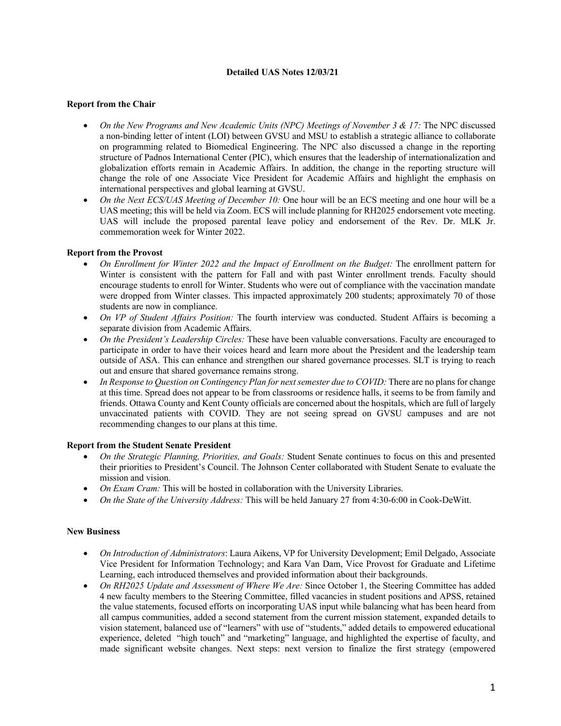# **Detailed UAS Notes 12/03/21**

# **Report from the Chair**

- On the New Programs and New Academic Units (NPC) Meetings of November 3 & 17: The NPC discussed a non-binding letter of intent (LOI) between GVSU and MSU to establish a strategic alliance to collaborate on programming related to Biomedical Engineering. The NPC also discussed a change in the reporting structure of Padnos International Center (PIC), which ensures that the leadership of internationalization and globalization efforts remain in Academic Affairs. In addition, the change in the reporting structure will change the role of one Associate Vice President for Academic Affairs and highlight the emphasis on international perspectives and global learning at GVSU.
- *On the Next ECS/UAS Meeting of December 10:* One hour will be an ECS meeting and one hour will be a UAS meeting; this will be held via Zoom. ECS will include planning for RH2025 endorsement vote meeting. UAS will include the proposed parental leave policy and endorsement of the Rev. Dr. MLK Jr. commemoration week for Winter 2022.

# **Report from the Provost**

- *On Enrollment for Winter 2022 and the Impact of Enrollment on the Budget:* The enrollment pattern for Winter is consistent with the pattern for Fall and with past Winter enrollment trends. Faculty should encourage students to enroll for Winter. Students who were out of compliance with the vaccination mandate were dropped from Winter classes. This impacted approximately 200 students; approximately 70 of those students are now in compliance.
- *On VP of Student Affairs Position:* The fourth interview was conducted. Student Affairs is becoming a separate division from Academic Affairs.
- *On the President's Leadership Circles:* These have been valuable conversations. Faculty are encouraged to participate in order to have their voices heard and learn more about the President and the leadership team outside of ASA. This can enhance and strengthen our shared governance processes. SLT is trying to reach out and ensure that shared governance remains strong.
- *In Response to Question on Contingency Plan for next semester due to COVID:* There are no plans for change at this time. Spread does not appear to be from classrooms or residence halls, it seems to be from family and friends. Ottawa County and Kent County officials are concerned about the hospitals, which are full of largely unvaccinated patients with COVID. They are not seeing spread on GVSU campuses and are not recommending changes to our plans at this time.

# **Report from the Student Senate President**

- *On the Strategic Planning, Priorities, and Goals:* Student Senate continues to focus on this and presented their priorities to President's Council. The Johnson Center collaborated with Student Senate to evaluate the mission and vision.
- *On Exam Cram:* This will be hosted in collaboration with the University Libraries.
- *On the State of the University Address:* This will be held January 27 from 4:30-6:00 in Cook-DeWitt.

# **New Business**

- *On Introduction of Administrators*: Laura Aikens, VP for University Development; Emil Delgado, Associate Vice President for Information Technology; and Kara Van Dam, Vice Provost for Graduate and Lifetime Learning, each introduced themselves and provided information about their backgrounds.
- *On RH2025 Update and Assessment of Where We Are:* Since October 1, the Steering Committee has added 4 new faculty members to the Steering Committee, filled vacancies in student positions and APSS, retained the value statements, focused efforts on incorporating UAS input while balancing what has been heard from all campus communities, added a second statement from the current mission statement, expanded details to vision statement, balanced use of "learners" with use of "students," added details to empowered educational experience, deleted "high touch" and "marketing" language, and highlighted the expertise of faculty, and made significant website changes. Next steps: next version to finalize the first strategy (empowered